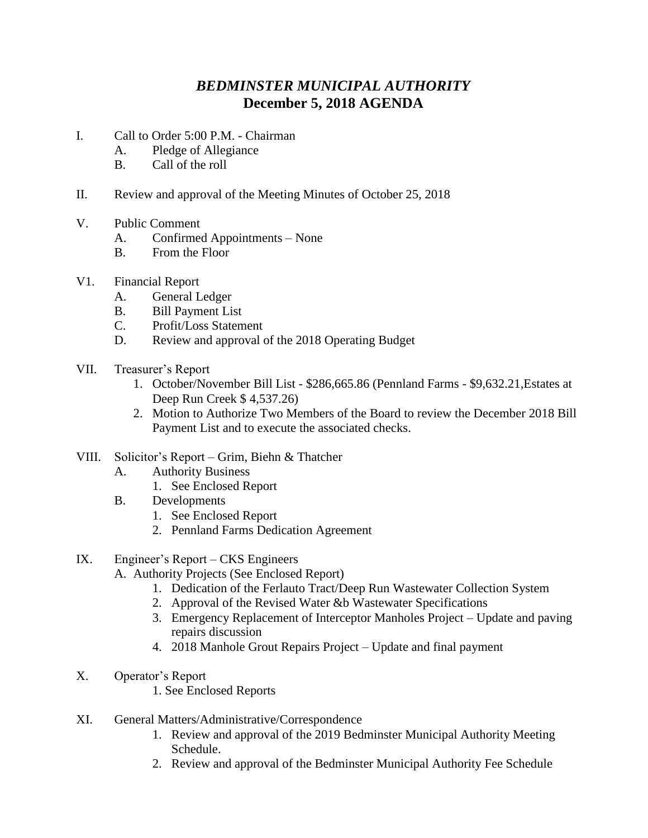## *BEDMINSTER MUNICIPAL AUTHORITY* **December 5, 2018 AGENDA**

- I. Call to Order 5:00 P.M. Chairman
	- A. Pledge of Allegiance
	- B. Call of the roll
- II. Review and approval of the Meeting Minutes of October 25, 2018
- V. Public Comment
	- A. Confirmed Appointments None
	- B. From the Floor
- V1. Financial Report
	- A. General Ledger
	- B. Bill Payment List
	- C. Profit/Loss Statement
	- D. Review and approval of the 2018 Operating Budget
- VII. Treasurer's Report
	- 1. October/November Bill List \$286,665.86 (Pennland Farms \$9,632.21,Estates at Deep Run Creek \$ 4,537.26)
	- 2. Motion to Authorize Two Members of the Board to review the December 2018 Bill Payment List and to execute the associated checks.
- VIII. Solicitor's Report Grim, Biehn & Thatcher
	- A. Authority Business
		- 1. See Enclosed Report
	- B. Developments
		- 1. See Enclosed Report
		- 2. Pennland Farms Dedication Agreement
- IX. Engineer's Report CKS Engineers
	- A. Authority Projects (See Enclosed Report)
		- 1. Dedication of the Ferlauto Tract/Deep Run Wastewater Collection System
		- 2. Approval of the Revised Water &b Wastewater Specifications
		- 3. Emergency Replacement of Interceptor Manholes Project Update and paving repairs discussion
		- 4. 2018 Manhole Grout Repairs Project Update and final payment
- X. Operator's Report
	- 1. See Enclosed Reports
- XI. General Matters/Administrative/Correspondence
	- 1. Review and approval of the 2019 Bedminster Municipal Authority Meeting Schedule.
	- 2. Review and approval of the Bedminster Municipal Authority Fee Schedule